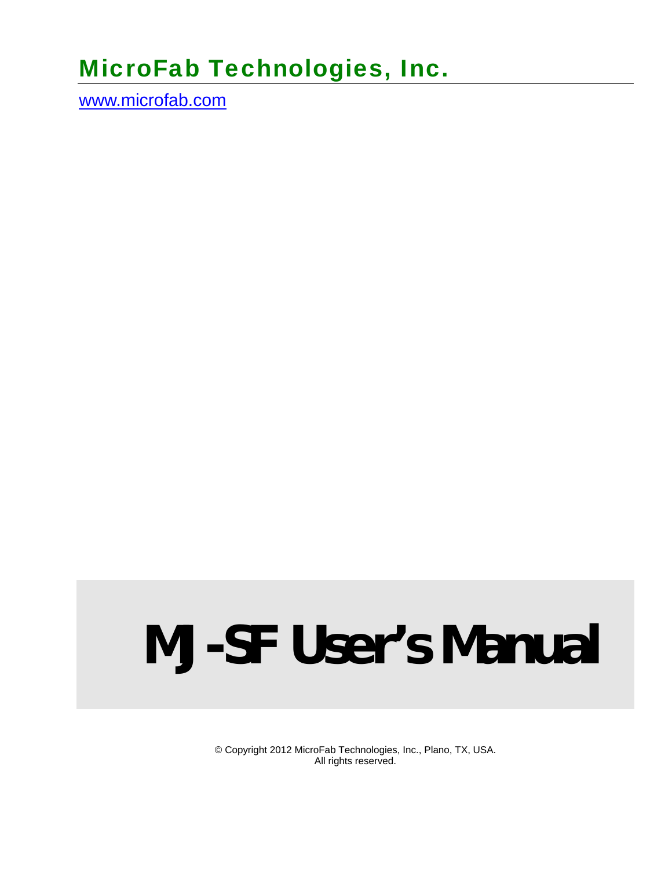# MicroFab Technologies, Inc.

www.microfab.com

# **MJ-SF User's Manual**

© Copyright 2012 MicroFab Technologies, Inc., Plano, TX, USA. All rights reserved.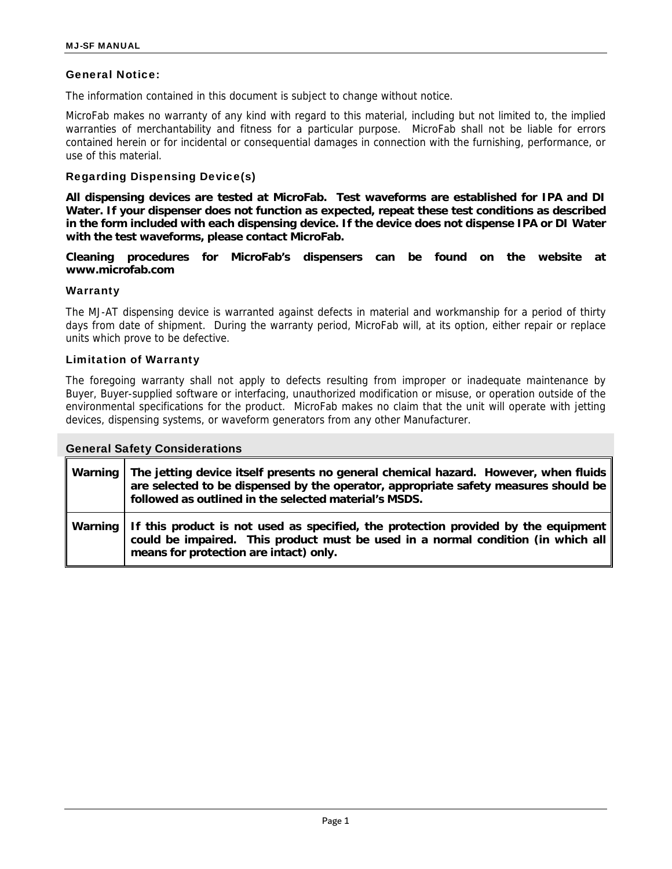#### General Notice:

The information contained in this document is subject to change without notice.

MicroFab makes no warranty of any kind with regard to this material, including but not limited to, the implied warranties of merchantability and fitness for a particular purpose. MicroFab shall not be liable for errors contained herein or for incidental or consequential damages in connection with the furnishing, performance, or use of this material.

#### Regarding Dispensing Device(s)

**All dispensing devices are tested at MicroFab. Test waveforms are established for IPA and DI Water. If your dispenser does not function as expected, repeat these test conditions as described in the form included with each dispensing device. If the device does not dispense IPA or DI Water with the test waveforms, please contact MicroFab.** 

**Cleaning procedures for MicroFab's dispensers can be found on the website at www.microfab.com** 

#### **Warranty**

The MJ-AT dispensing device is warranted against defects in material and workmanship for a period of thirty days from date of shipment. During the warranty period, MicroFab will, at its option, either repair or replace units which prove to be defective.

#### Limitation of Warranty

The foregoing warranty shall not apply to defects resulting from improper or inadequate maintenance by Buyer, Buyer-supplied software or interfacing, unauthorized modification or misuse, or operation outside of the environmental specifications for the product. MicroFab makes no claim that the unit will operate with jetting devices, dispensing systems, or waveform generators from any other Manufacturer.

| <b>General Safety Considerations</b> |                                                                                                                                                                                                                                     |  |  |  |
|--------------------------------------|-------------------------------------------------------------------------------------------------------------------------------------------------------------------------------------------------------------------------------------|--|--|--|
| Warning                              | The jetting device itself presents no general chemical hazard. However, when fluids<br>are selected to be dispensed by the operator, appropriate safety measures should be<br>followed as outlined in the selected material's MSDS. |  |  |  |
| Warning                              | If this product is not used as specified, the protection provided by the equipment<br>could be impaired. This product must be used in a normal condition (in which all<br>means for protection are intact) only.                    |  |  |  |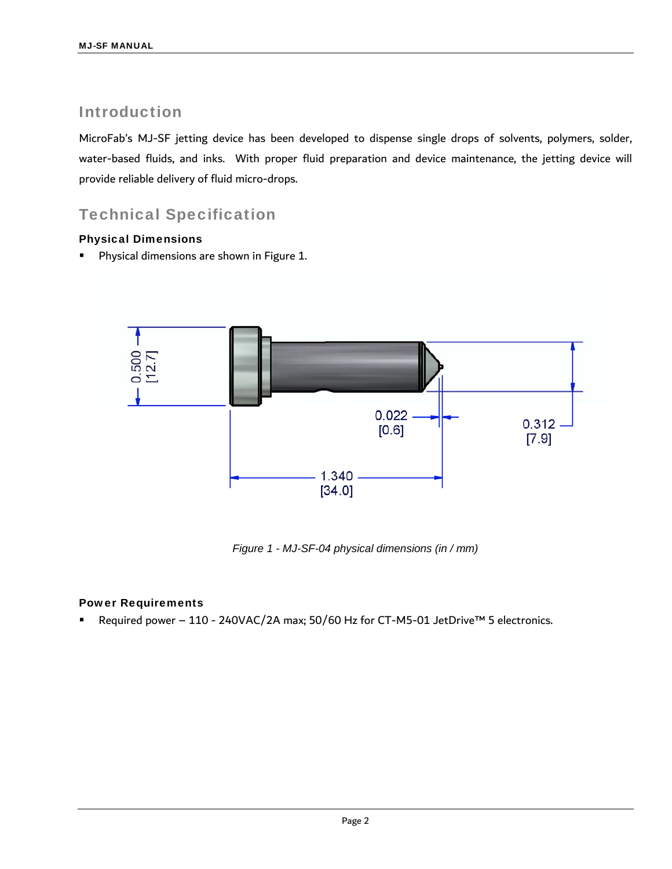### Introduction

MicroFab's MJ-SF jetting device has been developed to dispense single drops of solvents, polymers, solder, water-based fluids, and inks. With proper fluid preparation and device maintenance, the jetting device will provide reliable delivery of fluid micro-drops.

## Technical Specification

#### Physical Dimensions

**Physical dimensions are shown in Figure 1.** 



*Figure 1 - MJ-SF-04 physical dimensions (in / mm)* 

#### Power Requirements

Required power – 110 - 240VAC/2A max; 50/60 Hz for CT-M5-01 JetDrive™ 5 electronics.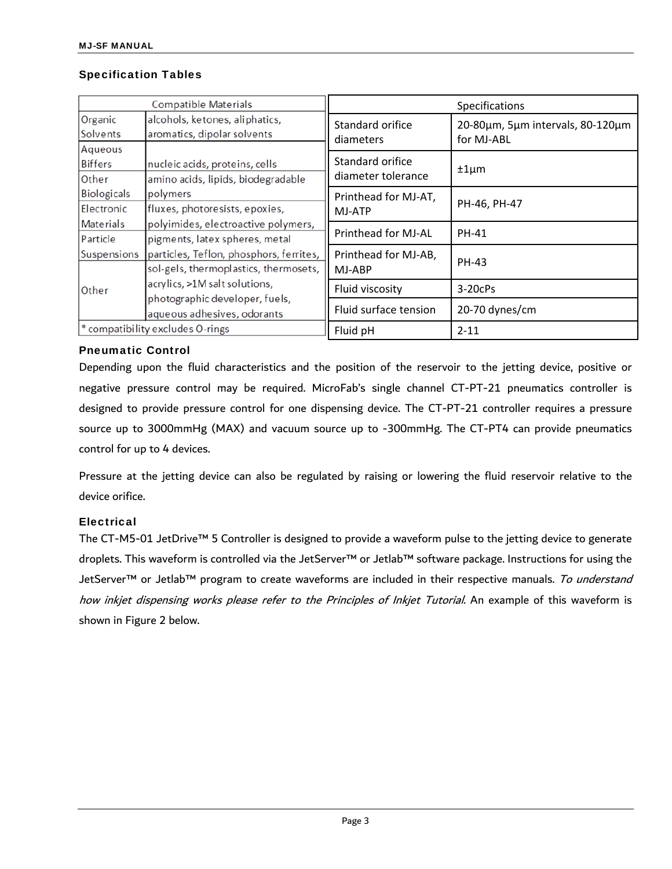#### Specification Tables

| <b>Compatible Materials</b>      |                                                                                  | Specifications                         |                                                |
|----------------------------------|----------------------------------------------------------------------------------|----------------------------------------|------------------------------------------------|
| Organic<br>Solvents              | alcohols, ketones, aliphatics,<br>aromatics, dipolar solvents                    | Standard orifice<br>diameters          | 20-80um, 5um intervals, 80-120um<br>for MJ-ABL |
| Aqueous<br>Biffers<br>Other      | nucleic acids, proteins, cells<br>amino acids, lipids, biodegradable             | Standard orifice<br>diameter tolerance | $±1 \mu m$                                     |
| Biologicals<br>Electronic        | polymers<br>fluxes, photoresists, epoxies,                                       | Printhead for MJ-AT,<br>MJ-ATP         | PH-46, PH-47                                   |
| Materials<br>Particle            | polyimides, electroactive polymers,<br>pigments, latex spheres, metal            | Printhead for MJ-AL                    | PH-41                                          |
| Suspensions                      | particles, Teflon, phosphors, ferrites,<br>sol-gels, thermoplastics, thermosets, | Printhead for MJ-AB,<br>MJ-ABP         | <b>PH-43</b>                                   |
| Other                            | acrylics, >1M salt solutions,                                                    | Fluid viscosity                        | 3-20cPs                                        |
|                                  | photographic developer, fuels,<br>aqueous adhesives, odorants                    | Fluid surface tension                  | 20-70 dynes/cm                                 |
| * compatibility excludes O-rings |                                                                                  | Fluid pH                               | $2 - 11$                                       |

#### Pneumatic Control

Depending upon the fluid characteristics and the position of the reservoir to the jetting device, positive or negative pressure control may be required. MicroFab's single channel CT-PT-21 pneumatics controller is designed to provide pressure control for one dispensing device. The CT-PT-21 controller requires a pressure source up to 3000mmHg (MAX) and vacuum source up to -300mmHg. The CT-PT4 can provide pneumatics control for up to 4 devices.

Pressure at the jetting device can also be regulated by raising or lowering the fluid reservoir relative to the device orifice.

#### **Electrical**

The CT-M5-01 JetDrive™ 5 Controller is designed to provide a waveform pulse to the jetting device to generate droplets. This waveform is controlled via the JetServer™ or Jetlab™ software package. Instructions for using the JetServer™ or Jetlab™ program to create waveforms are included in their respective manuals. To understand how inkjet dispensing works please refer to the Principles of Inkjet Tutorial. An example of this waveform is shown in Figure 2 below.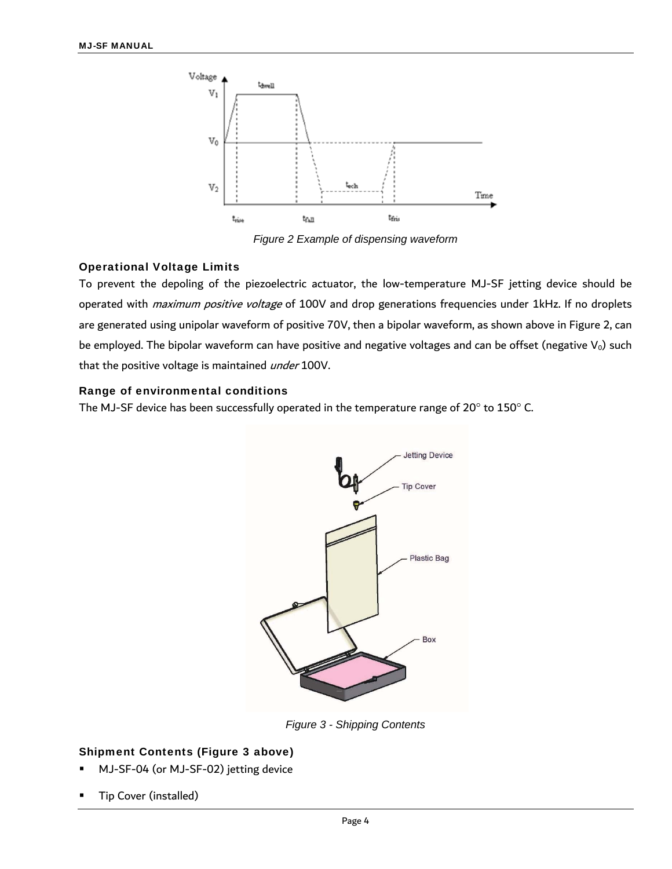

*Figure 2 Example of dispensing waveform* 

#### Operational Voltage Limits

To prevent the depoling of the piezoelectric actuator, the low-temperature MJ-SF jetting device should be operated with *maximum positive voltage* of 100V and drop generations frequencies under 1kHz. If no droplets are generated using unipolar waveform of positive 70V, then a bipolar waveform, as shown above in Figure 2, can be employed. The bipolar waveform can have positive and negative voltages and can be offset (negative  $V_0$ ) such that the positive voltage is maintained *under* 100V.

#### Range of environmental conditions

The MJ-SF device has been successfully operated in the temperature range of  $20^{\circ}$  to  $150^{\circ}$  C.



*Figure 3 - Shipping Contents*

#### Shipment Contents (Figure 3 above)

- MJ-SF-04 (or MJ-SF-02) jetting device
- Tip Cover (installed)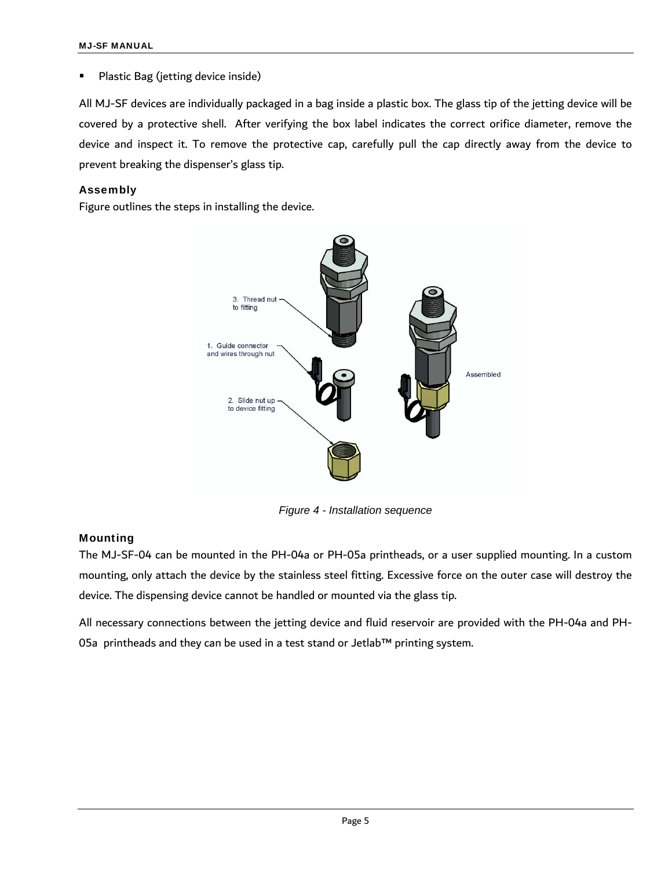#### Plastic Bag (jetting device inside)

All MJ-SF devices are individually packaged in a bag inside a plastic box. The glass tip of the jetting device will be covered by a protective shell. After verifying the box label indicates the correct orifice diameter, remove the device and inspect it. To remove the protective cap, carefully pull the cap directly away from the device to prevent breaking the dispenser's glass tip.

#### Assembly

Figure outlines the steps in installing the device.



*Figure 4 - Installation sequence* 

#### Mounting

The MJ-SF-04 can be mounted in the PH-04a or PH-05a printheads, or a user supplied mounting. In a custom mounting, only attach the device by the stainless steel fitting. Excessive force on the outer case will destroy the device. The dispensing device cannot be handled or mounted via the glass tip.

All necessary connections between the jetting device and fluid reservoir are provided with the PH-04a and PH-05a printheads and they can be used in a test stand or Jetlab™ printing system.